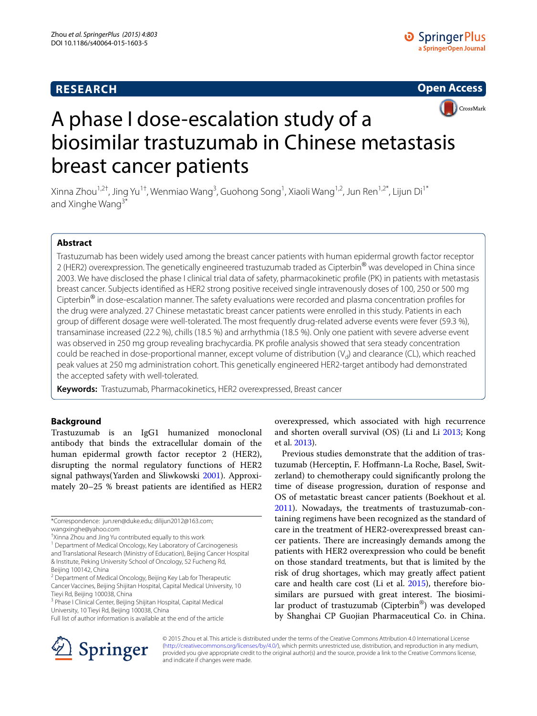# **RESEARCH**





# A phase I dose-escalation study of a biosimilar trastuzumab in Chinese metastasis breast cancer patients

Xinna Zhou<sup>1,2†</sup>, Jing Yu<sup>1†</sup>, Wenmiao Wang<sup>3</sup>, Guohong Song<sup>1</sup>, Xiaoli Wang<sup>1,2</sup>, Jun Ren<sup>1,2\*</sup>, Lijun Di<sup>1\*</sup> and Xinghe Wang<sup>3\*</sup>

## **Abstract**

Trastuzumab has been widely used among the breast cancer patients with human epidermal growth factor receptor 2 (HER2) overexpression. The genetically engineered trastuzumab traded as Cipterbin<sup>®</sup> was developed in China since 2003. We have disclosed the phase I clinical trial data of safety, pharmacokinetic profile (PK) in patients with metastasis breast cancer. Subjects identified as HER2 strong positive received single intravenously doses of 100, 250 or 500 mg Cipterbin<sup>®</sup> in dose-escalation manner. The safety evaluations were recorded and plasma concentration profiles for the drug were analyzed. 27 Chinese metastatic breast cancer patients were enrolled in this study. Patients in each group of different dosage were well-tolerated. The most frequently drug-related adverse events were fever (59.3 %), transaminase increased (22.2 %), chills (18.5 %) and arrhythmia (18.5 %). Only one patient with severe adverse event was observed in 250 mg group revealing brachycardia. PK profile analysis showed that sera steady concentration could be reached in dose-proportional manner, except volume of distribution  $(V_d)$  and clearance (CL), which reached peak values at 250 mg administration cohort. This genetically engineered HER2-target antibody had demonstrated the accepted safety with well-tolerated.

**Keywords:** Trastuzumab, Pharmacokinetics, HER2 overexpressed, Breast cancer

## **Background**

Trastuzumab is an IgG1 humanized monoclonal antibody that binds the extracellular domain of the human epidermal growth factor receptor 2 (HER2), disrupting the normal regulatory functions of HER2 signal pathways(Yarden and Sliwkowski [2001\)](#page-5-0). Approximately 20–25 % breast patients are identified as HER2

<sup>1</sup> Department of Medical Oncology, Key Laboratory of Carcinogenesis and Translational Research (Ministry of Education), Beijing Cancer Hospital & Institute, Peking University School of Oncology, 52 Fucheng Rd, Beijing 100142, China



Previous studies demonstrate that the addition of trastuzumab (Herceptin, F. Hoffmann-La Roche, Basel, Switzerland) to chemotherapy could significantly prolong the time of disease progression, duration of response and OS of metastatic breast cancer patients (Boekhout et al. [2011](#page-4-0)). Nowadays, the treatments of trastuzumab-containing regimens have been recognized as the standard of care in the treatment of HER2-overexpressed breast cancer patients. There are increasingly demands among the patients with HER2 overexpression who could be benefit on those standard treatments, but that is limited by the risk of drug shortages, which may greatly affect patient care and health care cost (Li et al. [2015](#page-5-3)), therefore biosimilars are pursued with great interest. The biosimilar product of trastuzumab (Cipterbin®) was developed by Shanghai CP Guojian Pharmaceutical Co. in China.



© 2015 Zhou et al. This article is distributed under the terms of the Creative Commons Attribution 4.0 International License [\(http://creativecommons.org/licenses/by/4.0/\)](http://creativecommons.org/licenses/by/4.0/), which permits unrestricted use, distribution, and reproduction in any medium, provided you give appropriate credit to the original author(s) and the source, provide a link to the Creative Commons license, and indicate if changes were made.

<sup>\*</sup>Correspondence: jun.ren@duke.edu; dilijun2012@163.com; wangxinghe@yahoo.com

<sup>†</sup> Xinna Zhou and Jing Yu contributed equally to this work

<sup>&</sup>lt;sup>2</sup> Department of Medical Oncology, Beijing Key Lab for Therapeutic Cancer Vaccines, Beijing Shijitan Hospital, Capital Medical University, 10 Tieyi Rd, Beijing 100038, China

<sup>&</sup>lt;sup>3</sup> Phase I Clinical Center, Beijing Shijitan Hospital, Capital Medical University, 10 Tieyi Rd, Beijing 100038, China

Full list of author information is available at the end of the article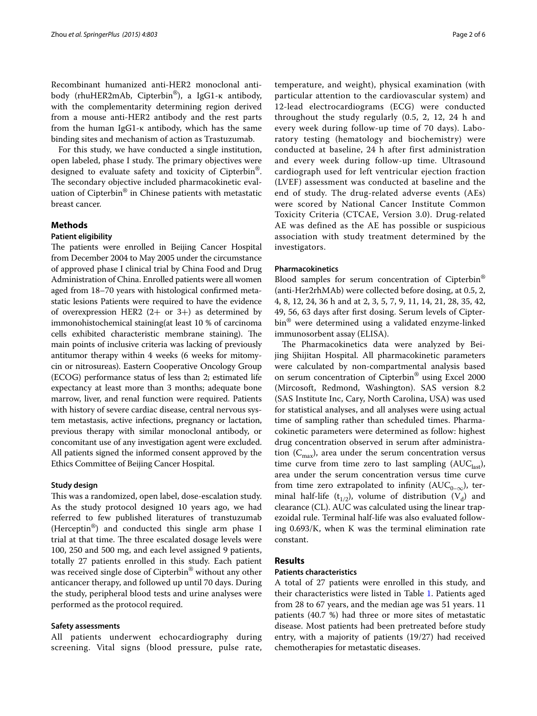Recombinant humanized anti-HER2 monoclonal antibody (rhuHER2mAb, Cipterbin®), a IgG1-κ antibody, with the complementarity determining region derived from a mouse anti-HER2 antibody and the rest parts from the human IgG1-κ antibody, which has the same binding sites and mechanism of action as Trastuzumab.

For this study, we have conducted a single institution, open labeled, phase I study. The primary objectives were designed to evaluate safety and toxicity of Cipterbin®. The secondary objective included pharmacokinetic evaluation of Cipterbin® in Chinese patients with metastatic breast cancer.

## **Methods**

#### **Patient eligibility**

The patients were enrolled in Beijing Cancer Hospital from December 2004 to May 2005 under the circumstance of approved phase I clinical trial by China Food and Drug Administration of China. Enrolled patients were all women aged from 18–70 years with histological confirmed metastatic lesions Patients were required to have the evidence of overexpression HER2  $(2+$  or 3+) as determined by immonohistochemical staining(at least 10 % of carcinoma cells exhibited characteristic membrane staining). The main points of inclusive criteria was lacking of previously antitumor therapy within 4 weeks (6 weeks for mitomycin or nitrosureas). Eastern Cooperative Oncology Group (ECOG) performance status of less than 2; estimated life expectancy at least more than 3 months; adequate bone marrow, liver, and renal function were required. Patients with history of severe cardiac disease, central nervous system metastasis, active infections, pregnancy or lactation, previous therapy with similar monoclonal antibody, or concomitant use of any investigation agent were excluded. All patients signed the informed consent approved by the Ethics Committee of Beijing Cancer Hospital.

#### **Study design**

This was a randomized, open label, dose-escalation study. As the study protocol designed 10 years ago, we had referred to few published literatures of transtuzumab (Herceptin®) and conducted this single arm phase I trial at that time. The three escalated dosage levels were 100, 250 and 500 mg, and each level assigned 9 patients, totally 27 patients enrolled in this study. Each patient was received single dose of Cipterbin<sup>®</sup> without any other anticancer therapy, and followed up until 70 days. During the study, peripheral blood tests and urine analyses were performed as the protocol required.

### **Safety assessments**

All patients underwent echocardiography during screening. Vital signs (blood pressure, pulse rate,

temperature, and weight), physical examination (with particular attention to the cardiovascular system) and 12-lead electrocardiograms (ECG) were conducted throughout the study regularly (0.5, 2, 12, 24 h and every week during follow-up time of 70 days). Laboratory testing (hematology and biochemistry) were conducted at baseline, 24 h after first administration and every week during follow-up time. Ultrasound cardiograph used for left ventricular ejection fraction (LVEF) assessment was conducted at baseline and the end of study. The drug-related adverse events (AEs) were scored by National Cancer Institute Common Toxicity Criteria (CTCAE, Version 3.0). Drug-related AE was defined as the AE has possible or suspicious association with study treatment determined by the investigators.

#### **Pharmacokinetics**

Blood samples for serum concentration of Cipterbin® (anti-Her2rhMAb) were collected before dosing, at 0.5, 2, 4, 8, 12, 24, 36 h and at 2, 3, 5, 7, 9, 11, 14, 21, 28, 35, 42, 49, 56, 63 days after first dosing. Serum levels of Cipterbin® were determined using a validated enzyme-linked immunosorbent assay (ELISA).

The Pharmacokinetics data were analyzed by Beijing Shijitan Hospital. All pharmacokinetic parameters were calculated by non-compartmental analysis based on serum concentration of Cipterbin® using Excel 2000 (Mircosoft, Redmond, Washington). SAS version 8.2 (SAS Institute Inc, Cary, North Carolina, USA) was used for statistical analyses, and all analyses were using actual time of sampling rather than scheduled times. Pharmacokinetic parameters were determined as follow: highest drug concentration observed in serum after administration  $(C_{\text{max}})$ , area under the serum concentration versus time curve from time zero to last sampling  $(AUC<sub>last</sub>)$ , area under the serum concentration versus time curve from time zero extrapolated to infinity ( $AUC_{0-\infty}$ ), terminal half-life (t<sub>1/2</sub>), volume of distribution (V<sub>d</sub>) and clearance (CL). AUC was calculated using the linear trapezoidal rule. Terminal half-life was also evaluated following 0.693/K, when K was the terminal elimination rate constant.

#### **Results**

#### **Patients characteristics**

A total of 27 patients were enrolled in this study, and their characteristics were listed in Table [1](#page-2-0). Patients aged from 28 to 67 years, and the median age was 51 years. 11 patients (40.7 %) had three or more sites of metastatic disease. Most patients had been pretreated before study entry, with a majority of patients (19/27) had received chemotherapies for metastatic diseases.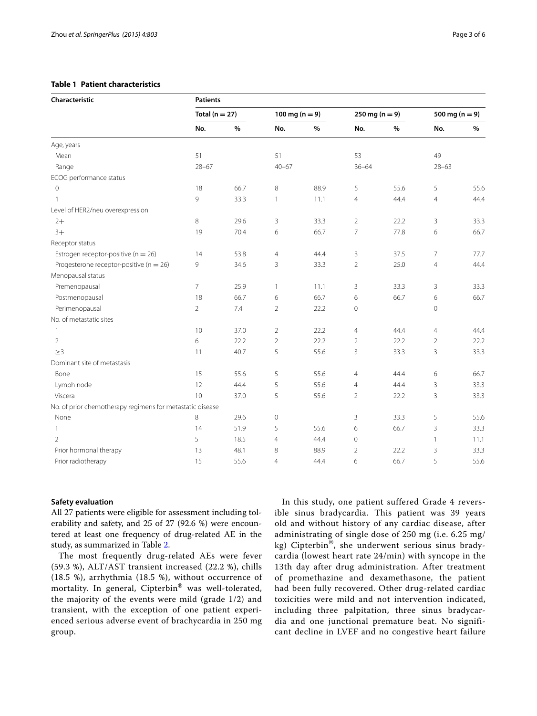## <span id="page-2-0"></span>**Table 1 Patient characteristics**

| Characteristic                                            | <b>Patients</b>    |      |                    |      |                          |      |                    |      |  |
|-----------------------------------------------------------|--------------------|------|--------------------|------|--------------------------|------|--------------------|------|--|
|                                                           | Total ( $n = 27$ ) |      | 100 mg ( $n = 9$ ) |      | $250 \text{ mg} (n = 9)$ |      | 500 mg ( $n = 9$ ) |      |  |
|                                                           | No.                | $\%$ | No.                | $\%$ | No.                      | %    | No.                | $\%$ |  |
| Age, years                                                |                    |      |                    |      |                          |      |                    |      |  |
| Mean                                                      | 51                 |      | 51                 |      | 53                       |      | 49                 |      |  |
| Range                                                     | $28 - 67$          |      | $40 - 67$          |      | $36 - 64$                |      | $28 - 63$          |      |  |
| ECOG performance status                                   |                    |      |                    |      |                          |      |                    |      |  |
| 0                                                         | 18                 | 66.7 | 8                  | 88.9 | 5                        | 55.6 | 5                  | 55.6 |  |
| $\mathbf{1}$                                              | 9                  | 33.3 | $\mathbf{1}$       | 11.1 | $\overline{4}$           | 44.4 | $\overline{4}$     | 44.4 |  |
| Level of HER2/neu overexpression                          |                    |      |                    |      |                          |      |                    |      |  |
| $2+$                                                      | 8                  | 29.6 | 3                  | 33.3 | $\overline{2}$           | 22.2 | 3                  | 33.3 |  |
| $3+$                                                      | 19                 | 70.4 | 6                  | 66.7 | $\overline{7}$           | 77.8 | 6                  | 66.7 |  |
| Receptor status                                           |                    |      |                    |      |                          |      |                    |      |  |
| Estrogen receptor-positive ( $n = 26$ )                   | 14                 | 53.8 | $\overline{4}$     | 44.4 | 3                        | 37.5 | $\overline{7}$     | 77.7 |  |
| Progesterone receptor-positive ( $n = 26$ )               | 9                  | 34.6 | 3                  | 33.3 | $\overline{2}$           | 25.0 | $\overline{4}$     | 44.4 |  |
| Menopausal status                                         |                    |      |                    |      |                          |      |                    |      |  |
| Premenopausal                                             | $\overline{7}$     | 25.9 | $\overline{1}$     | 11.1 | 3                        | 33.3 | 3                  | 33.3 |  |
| Postmenopausal                                            | 18                 | 66.7 | 6                  | 66.7 | 6                        | 66.7 | 6                  | 66.7 |  |
| Perimenopausal                                            | $\overline{2}$     | 7.4  | $\overline{2}$     | 22.2 | $\mathbf 0$              |      | $\mathbf 0$        |      |  |
| No. of metastatic sites                                   |                    |      |                    |      |                          |      |                    |      |  |
| 1                                                         | 10                 | 37.0 | $\overline{2}$     | 22.2 | $\overline{4}$           | 44.4 | $\overline{4}$     | 44.4 |  |
| $\overline{2}$                                            | 6                  | 22.2 | $\overline{2}$     | 22.2 | $\overline{2}$           | 22.2 | $\overline{2}$     | 22.2 |  |
| >3                                                        | 11                 | 40.7 | 5                  | 55.6 | 3                        | 33.3 | 3                  | 33.3 |  |
| Dominant site of metastasis                               |                    |      |                    |      |                          |      |                    |      |  |
| Bone                                                      | 15                 | 55.6 | 5                  | 55.6 | $\overline{4}$           | 44.4 | 6                  | 66.7 |  |
| Lymph node                                                | 12                 | 44.4 | 5                  | 55.6 | $\overline{4}$           | 44.4 | 3                  | 33.3 |  |
| Viscera                                                   | 10                 | 37.0 | 5                  | 55.6 | $\overline{2}$           | 22.2 | 3                  | 33.3 |  |
| No. of prior chemotherapy regimens for metastatic disease |                    |      |                    |      |                          |      |                    |      |  |
| None                                                      | 8                  | 29.6 | $\mathbf 0$        |      | 3                        | 33.3 | 5                  | 55.6 |  |
| $\mathbf{1}$                                              | 14                 | 51.9 | 5                  | 55.6 | 6                        | 66.7 | 3                  | 33.3 |  |
| $\overline{2}$                                            | 5                  | 18.5 | $\overline{4}$     | 44.4 | $\mathbf 0$              |      | $\mathbf{1}$       | 11.1 |  |
| Prior hormonal therapy                                    | 13                 | 48.1 | 8                  | 88.9 | $\overline{2}$           | 22.2 | 3                  | 33.3 |  |
| Prior radiotherapy                                        | 15                 | 55.6 | $\overline{4}$     | 44.4 | 6                        | 66.7 | 5                  | 55.6 |  |

## **Safety evaluation**

All 27 patients were eligible for assessment including tolerability and safety, and 25 of 27 (92.6 %) were encountered at least one frequency of drug-related AE in the study, as summarized in Table [2](#page-3-0).

The most frequently drug-related AEs were fever (59.3 %), ALT/AST transient increased (22.2 %), chills (18.5 %), arrhythmia (18.5 %), without occurrence of mortality. In general, Cipterbin® was well-tolerated, the majority of the events were mild (grade 1/2) and transient, with the exception of one patient experienced serious adverse event of brachycardia in 250 mg group.

In this study, one patient suffered Grade 4 reversible sinus bradycardia. This patient was 39 years old and without history of any cardiac disease, after administrating of single dose of 250 mg (i.e. 6.25 mg/ kg) Cipterbin®, she underwent serious sinus bradycardia (lowest heart rate 24/min) with syncope in the 13th day after drug administration. After treatment of promethazine and dexamethasone, the patient had been fully recovered. Other drug-related cardiac toxicities were mild and not intervention indicated, including three palpitation, three sinus bradycardia and one junctional premature beat. No significant decline in LVEF and no congestive heart failure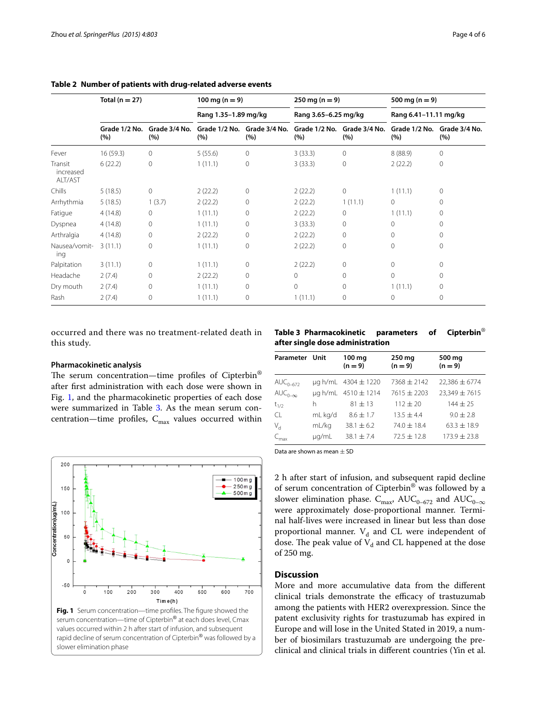|                                 | Total ( $n = 27$ )   |                      | 100 mg ( $n = 9$ )<br>Rang 1.35-1.89 mg/kg |                                    | $250 \text{ mg} (n = 9)$<br>Rang 3.65-6.25 mg/kg |                      | 500 mg ( $n = 9$ )<br>Rang 6.41-11.11 mg/kg |                      |
|---------------------------------|----------------------|----------------------|--------------------------------------------|------------------------------------|--------------------------------------------------|----------------------|---------------------------------------------|----------------------|
|                                 |                      |                      |                                            |                                    |                                                  |                      |                                             |                      |
|                                 | Grade 1/2 No.<br>(%) | Grade 3/4 No.<br>(%) | (%)                                        | Grade 1/2 No. Grade 3/4 No.<br>(%) | Grade 1/2 No.<br>(%)                             | Grade 3/4 No.<br>(%) | Grade 1/2 No.<br>(%)                        | Grade 3/4 No.<br>(%) |
| Fever                           | 16 (59.3)            | $\circ$              | 5(55.6)                                    | 0                                  | 3(33.3)                                          | $\mathbf{0}$         | 8(88.9)                                     | $\Omega$             |
| Transit<br>increased<br>ALT/AST | 6(22.2)              | $\mathbf{0}$         | 1(11.1)                                    | $\mathbf 0$                        | 3(33.3)                                          | $\mathbf 0$          | 2(22.2)                                     | 0                    |
| Chills                          | 5(18.5)              | $\mathbf{0}$         | 2(22.2)                                    | $\mathbf{0}$                       | 2(22.2)                                          | $\mathbf 0$          | 1(11.1)                                     | 0                    |
| Arrhythmia                      | 5(18.5)              | 1(3.7)               | 2(22.2)                                    | $\Omega$                           | 2(22.2)                                          | 1(11.1)              | $\circ$                                     | $\Omega$             |
| Fatigue                         | 4(14.8)              | $\circ$              | 1(11.1)                                    | $\mathbf 0$                        | 2(22.2)                                          | $\mathbf 0$          | 1(11.1)                                     | 0                    |
| Dyspnea                         | 4(14.8)              | $\circ$              | 1(11.1)                                    | $\Omega$                           | 3(33.3)                                          | 0                    | $\Omega$                                    | 0                    |
| Arthralgia                      | 4(14.8)              | $\circ$              | 2(22.2)                                    | 0                                  | 2(22.2)                                          | 0                    | $\Omega$                                    | 0                    |
| Nausea/vomit-<br>ing            | 3(11.1)              | $\mathbf{0}$         | 1(11.1)                                    | $\mathbf{0}$                       | 2(22.2)                                          | 0                    | $\Omega$                                    | 0                    |
| Palpitation                     | 3(11.1)              | $\mathbf{0}$         | 1(11.1)                                    | $\mathbf 0$                        | 2(22.2)                                          | $\mathbf{0}$         | $\Omega$                                    | 0                    |
| Headache                        | 2(7.4)               | $\mathbf{0}$         | 2(22.2)                                    | $\mathbf 0$                        | 0                                                | $\mathbf{0}$         | $\Omega$                                    | 0                    |
| Dry mouth                       | 2(7.4)               | $\circ$              | 1(11.1)                                    | $\mathbf{0}$                       | $\mathbf 0$                                      | $\mathbf{0}$         | 1(11.1)                                     | 0                    |
| Rash                            | 2(7.4)               | 0                    | 1(11.1)                                    | 0                                  | 1(11.1)                                          | 0                    | $\circ$                                     | 0                    |

<span id="page-3-0"></span>**Table 2 Number of patients with drug-related adverse events**

occurred and there was no treatment-related death in this study.

#### **Pharmacokinetic analysis**

The serum concentration—time profiles of Cipterbin® after first administration with each dose were shown in Fig. [1,](#page-3-1) and the pharmacokinetic properties of each dose were summarized in Table [3.](#page-3-2) As the mean serum concentration—time profiles,  $C_{\text{max}}$  values occurred within

<span id="page-3-2"></span>

| Parameter Unit             |         | 100 mg<br>$(n = 9)$          | 250 mg<br>$(n = 9)$ | 500 mg<br>$(n = 9)$ |
|----------------------------|---------|------------------------------|---------------------|---------------------|
| $AUC_{0-672}$              |         | $\mu$ g h/mL 4304 $\pm$ 1220 | $7368 \pm 2142$     | $22,386 \pm 6774$   |
| $AUC_{0-\infty}$           |         | $\mu$ g h/mL 4510 $\pm$ 1214 | 7615 ± 2203         | $23,349 \pm 7615$   |
| $t_{1/2}$                  | h       | $81 \pm 13$                  | $112 \pm 20$        | $144 \pm 25$        |
| <b>CL</b>                  | mL kg/d | $8.6 \pm 1.7$                | $13.5 + 4.4$        | $9.0 \pm 2.8$       |
| $V_{\rm d}$                | mL/kg   | $38.1 \pm 6.2$               | $74.0 \pm 18.4$     | $63.3 \pm 18.9$     |
| $\mathcal{L}_{\text{max}}$ | ug/mL   | $38.1 + 7.4$                 | $72.5 \pm 12.8$     | $173.9 \pm 23.8$    |

<span id="page-3-1"></span>

Data are shown as mean  $\pm$  SD

2 h after start of infusion, and subsequent rapid decline of serum concentration of Cipterbin® was followed by a slower elimination phase.  $C_{\text{max}}$ , AU $C_{0-672}$  and AU $C_{0-\infty}$ were approximately dose-proportional manner. Terminal half-lives were increased in linear but less than dose proportional manner.  $V_d$  and CL were independent of dose. The peak value of  $V_d$  and CL happened at the dose of 250 mg.

## **Discussion**

More and more accumulative data from the different clinical trials demonstrate the efficacy of trastuzumab among the patients with HER2 overexpression. Since the patent exclusivity rights for trastuzumab has expired in Europe and will lose in the United Stated in 2019, a number of biosimilars trastuzumab are undergoing the preclinical and clinical trials in different countries (Yin et al.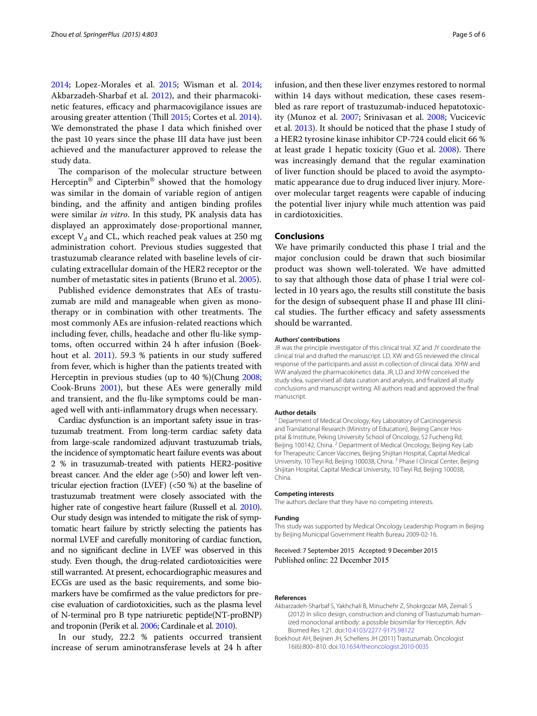[2014](#page-5-4); Lopez-Morales et al. [2015](#page-5-5); Wisman et al. [2014](#page-5-6); Akbarzadeh-Sharbaf et al. [2012\)](#page-4-1), and their pharmacokinetic features, efficacy and pharmacovigilance issues are arousing greater attention (Thill [2015](#page-5-7); Cortes et al. [2014](#page-5-8)). We demonstrated the phase I data which finished over the past 10 years since the phase III data have just been achieved and the manufacturer approved to release the study data.

The comparison of the molecular structure between Herceptin® and Cipterbin® showed that the homology was similar in the domain of variable region of antigen binding, and the affinity and antigen binding profiles were similar *in vitro*. In this study, PK analysis data has displayed an approximately dose-proportional manner, except  $V_d$  and CL, which reached peak values at 250 mg administration cohort. Previous studies suggested that trastuzumab clearance related with baseline levels of circulating extracellular domain of the HER2 receptor or the number of metastatic sites in patients (Bruno et al. [2005\)](#page-5-9).

Published evidence demonstrates that AEs of trastuzumab are mild and manageable when given as monotherapy or in combination with other treatments. The most commonly AEs are infusion-related reactions which including fever, chills, headache and other flu-like symptoms, often occurred within 24 h after infusion (Boek-hout et al. [2011](#page-4-0)). 59.3 % patients in our study suffered from fever, which is higher than the patients treated with Herceptin in previous studies (up to 40 %)(Chung [2008](#page-5-10); Cook-Bruns [2001\)](#page-5-11), but these AEs were generally mild and transient, and the flu-like symptoms could be managed well with anti-inflammatory drugs when necessary.

Cardiac dysfunction is an important safety issue in trastuzumab treatment. From long-term cardiac safety data from large-scale randomized adjuvant trastuzumab trials, the incidence of symptomatic heart failure events was about 2 % in trasuzumab-treated with patients HER2-positive breast cancer. And the elder age (>50) and lower left ventricular ejection fraction (LVEF) (<50 %) at the baseline of trastuzumab treatment were closely associated with the higher rate of congestive heart failure (Russell et al. [2010](#page-5-12)). Our study design was intended to mitigate the risk of symptomatic heart failure by strictly selecting the patients has normal LVEF and carefully monitoring of cardiac function, and no significant decline in LVEF was observed in this study. Even though, the drug-related cardiotoxicities were still warranted. At present, echocardiographic measures and ECGs are used as the basic requirements, and some biomarkers have be comfirmed as the value predictors for precise evaluation of cardiotoxicities, such as the plasma level of N-terminal pro B type natriuretic peptide(NT-proBNP) and troponin (Perik et al. [2006;](#page-5-13) Cardinale et al. [2010\)](#page-5-14).

In our study, 22.2 % patients occurred transient increase of serum aminotransferase levels at 24 h after infusion, and then these liver enzymes restored to normal within 14 days without medication, these cases resembled as rare report of trastuzumab-induced hepatotoxicity (Munoz et al. [2007](#page-5-15); Srinivasan et al. [2008](#page-5-16); Vucicevic et al. [2013\)](#page-5-17). It should be noticed that the phase I study of a HER2 tyrosine kinase inhibitor CP-724 could elicit 66 % at least grade 1 hepatic toxicity (Guo et al. [2008](#page-5-18)). There was increasingly demand that the regular examination of liver function should be placed to avoid the asymptomatic appearance due to drug induced liver injury. Moreover molecular target reagents were capable of inducing the potential liver injury while much attention was paid in cardiotoxicities.

## **Conclusions**

We have primarily conducted this phase I trial and the major conclusion could be drawn that such biosimilar product was shown well-tolerated. We have admitted to say that although those data of phase I trial were collected in 10 years ago, the results still constitute the basis for the design of subsequent phase II and phase III clinical studies. The further efficacy and safety assessments should be warranted.

#### **Authors' contributions**

JR was the principle investigator of this clinical trial. XZ and JY coordinate the clinical trial and drafted the manuscript. LD, XW and GS reviewed the clinical response of the participants and assist in collection of clinical data. XHW and WW analyzed the pharmacokinetics data. JR, LD and XHW conceived the study idea, supervised all data curation and analysis, and finalized all study conclusions and manuscript writing. All authors read and approved the final manuscript.

#### **Author details**

<sup>1</sup> Department of Medical Oncology, Key Laboratory of Carcinogenesis and Translational Research (Ministry of Education), Beijing Cancer Hospital & Institute, Peking University School of Oncology, 52 Fucheng Rd, Beijing 100142, China. <sup>2</sup> Department of Medical Oncology, Beijing Key Lab for Therapeutic Cancer Vaccines, Beijing Shijitan Hospital, Capital Medical University, 10 Tieyi Rd, Beijing 100038, China. 3 Phase I Clinical Center, Beijing Shijitan Hospital, Capital Medical University, 10 Tieyi Rd, Beijing 100038, China.

#### **Competing interests**

The authors declare that they have no competing interests.

#### **Funding**

This study was supported by Medical Oncology Leadership Program in Beijing by Beijing Municipal Government Health Bureau 2009-02-16.

Received: 7 September 2015 Accepted: 9 December 2015 Published online: 22 December 2015

#### **References**

- <span id="page-4-1"></span>Akbarzadeh-Sharbaf S, Yakhchali B, Minuchehr Z, Shokrgozar MA, Zeinali S (2012) In silico design, construction and cloning of Trastuzumab humanized monoclonal antibody: a possible biosimilar for Herceptin. Adv Biomed Res 1:21. doi:[10.4103/2277-9175.98122](http://dx.doi.org/10.4103/2277-9175.98122)
- <span id="page-4-0"></span>Boekhout AH, Beijnen JH, Schellens JH (2011) Trastuzumab. Oncologist 16(6):800–810. doi:[10.1634/theoncologist.2010-0035](http://dx.doi.org/10.1634/theoncologist.2010-0035)